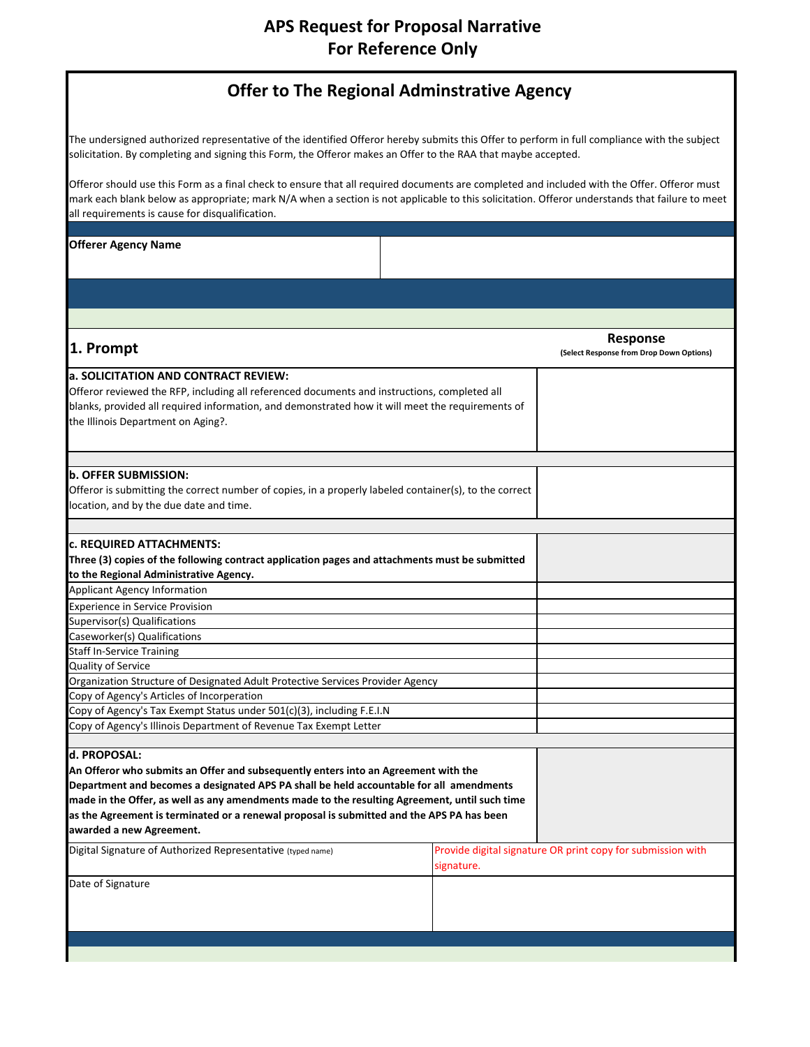# **APS Request for Proposal Narrative For Reference Only**

| <b>Offer to The Regional Adminstrative Agency</b> |  |
|---------------------------------------------------|--|
|---------------------------------------------------|--|

The undersigned authorized representative of the identified Offeror hereby submits this Offer to perform in full compliance with the subject solicitation. By completing and signing this Form, the Offeror makes an Offer to the RAA that maybe accepted.

Offeror should use this Form as a final check to ensure that all required documents are completed and included with the Offer. Offeror must mark each blank below as appropriate; mark N/A when a section is not applicable to this solicitation. Offeror understands that failure to meet all requirements is cause for disqualification.

**Offerer Agency Name**

| 1. Prompt                                                                                              |            | <b>Response</b><br>(Select Response from Drop Down Options) |
|--------------------------------------------------------------------------------------------------------|------------|-------------------------------------------------------------|
| a. SOLICITATION AND CONTRACT REVIEW:                                                                   |            |                                                             |
| Offeror reviewed the RFP, including all referenced documents and instructions, completed all           |            |                                                             |
| blanks, provided all required information, and demonstrated how it will meet the requirements of       |            |                                                             |
| the Illinois Department on Aging?.                                                                     |            |                                                             |
|                                                                                                        |            |                                                             |
|                                                                                                        |            |                                                             |
| b. OFFER SUBMISSION:                                                                                   |            |                                                             |
| Offeror is submitting the correct number of copies, in a properly labeled container(s), to the correct |            |                                                             |
| location, and by the due date and time.                                                                |            |                                                             |
| <b>c. REQUIRED ATTACHMENTS:</b>                                                                        |            |                                                             |
| Three (3) copies of the following contract application pages and attachments must be submitted         |            |                                                             |
| to the Regional Administrative Agency.                                                                 |            |                                                             |
| <b>Applicant Agency Information</b>                                                                    |            |                                                             |
| <b>Experience in Service Provision</b>                                                                 |            |                                                             |
| Supervisor(s) Qualifications                                                                           |            |                                                             |
| Caseworker(s) Qualifications                                                                           |            |                                                             |
| <b>Staff In-Service Training</b>                                                                       |            |                                                             |
| Quality of Service                                                                                     |            |                                                             |
| Organization Structure of Designated Adult Protective Services Provider Agency                         |            |                                                             |
| Copy of Agency's Articles of Incorperation                                                             |            |                                                             |
| Copy of Agency's Tax Exempt Status under 501(c)(3), including F.E.I.N                                  |            |                                                             |
| Copy of Agency's Illinois Department of Revenue Tax Exempt Letter                                      |            |                                                             |
|                                                                                                        |            |                                                             |
| d. PROPOSAL:                                                                                           |            |                                                             |
| An Offeror who submits an Offer and subsequently enters into an Agreement with the                     |            |                                                             |
| Department and becomes a designated APS PA shall be held accountable for all amendments                |            |                                                             |
| made in the Offer, as well as any amendments made to the resulting Agreement, until such time          |            |                                                             |
| as the Agreement is terminated or a renewal proposal is submitted and the APS PA has been              |            |                                                             |
| awarded a new Agreement.                                                                               |            |                                                             |
| Digital Signature of Authorized Representative (typed name)                                            |            | Provide digital signature OR print copy for submission with |
|                                                                                                        | signature. |                                                             |
| Date of Signature                                                                                      |            |                                                             |
|                                                                                                        |            |                                                             |
|                                                                                                        |            |                                                             |
|                                                                                                        |            |                                                             |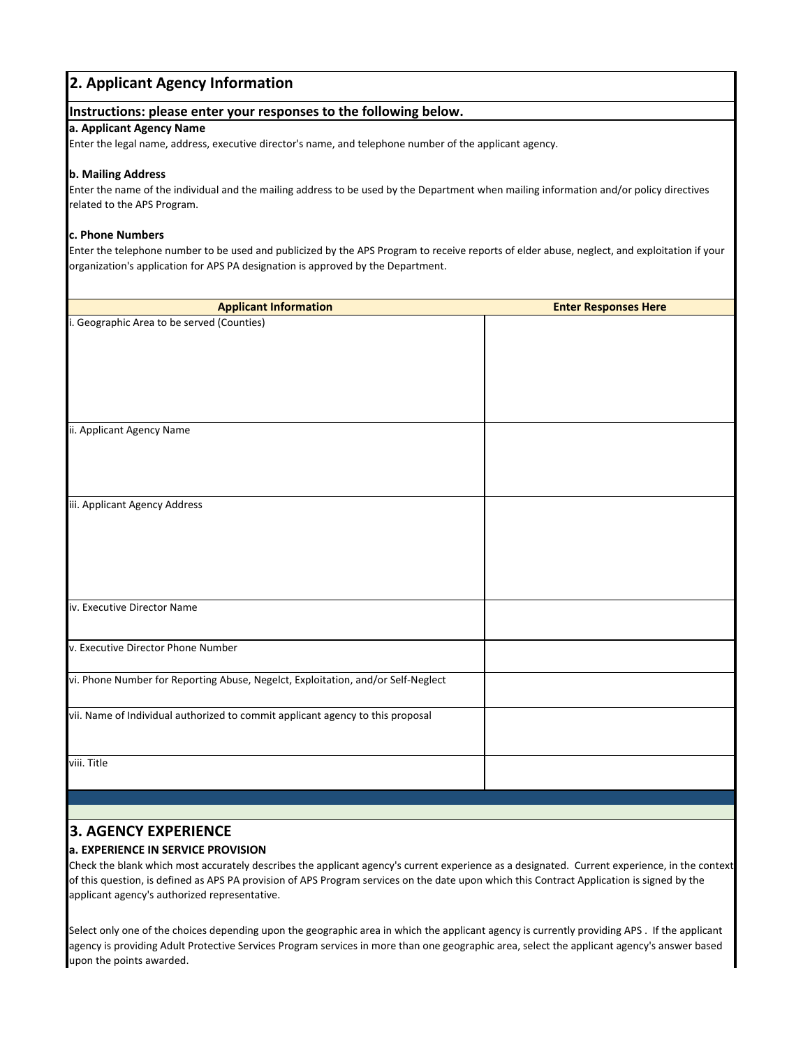# vi. Phone Number for Reporting Abuse, Negelct, Exploitation, and/or Self‐Neglect iv. Executive Director Name v. Executive Director Phone Number **2. Applicant Agency Information a. Applicant Agency Name** Enter the legal name, address, executive director's name, and telephone number of the applicant agency. **b. Mailing Address** Enter the name of the individual and the mailing address to be used by the Department when mailing information and/or policy directives related to the APS Program. **c. Phone Numbers** Enter the telephone number to be used and publicized by the APS Program to receive reports of elder abuse, neglect, and exploitation if your organization's application for APS PA designation is approved by the Department. i. Geographic Area to be served (Counties) ii. Applicant Agency Name iii. Applicant Agency Address **Instructions: please enter your responses to the following below. Applicant Information Enter Responses Here** vii. Name of Individual authorized to commit applicant agency to this proposal viii. Title

# **3. AGENCY EXPERIENCE**

# **a. EXPERIENCE IN SERVICE PROVISION**

Check the blank which most accurately describes the applicant agency's current experience as a designated. Current experience, in the context of this question, is defined as APS PA provision of APS Program services on the date upon which this Contract Application is signed by the applicant agency's authorized representative.

Select only one of the choices depending upon the geographic area in which the applicant agency is currently providing APS . If the applicant agency is providing Adult Protective Services Program services in more than one geographic area, select the applicant agency's answer based upon the points awarded.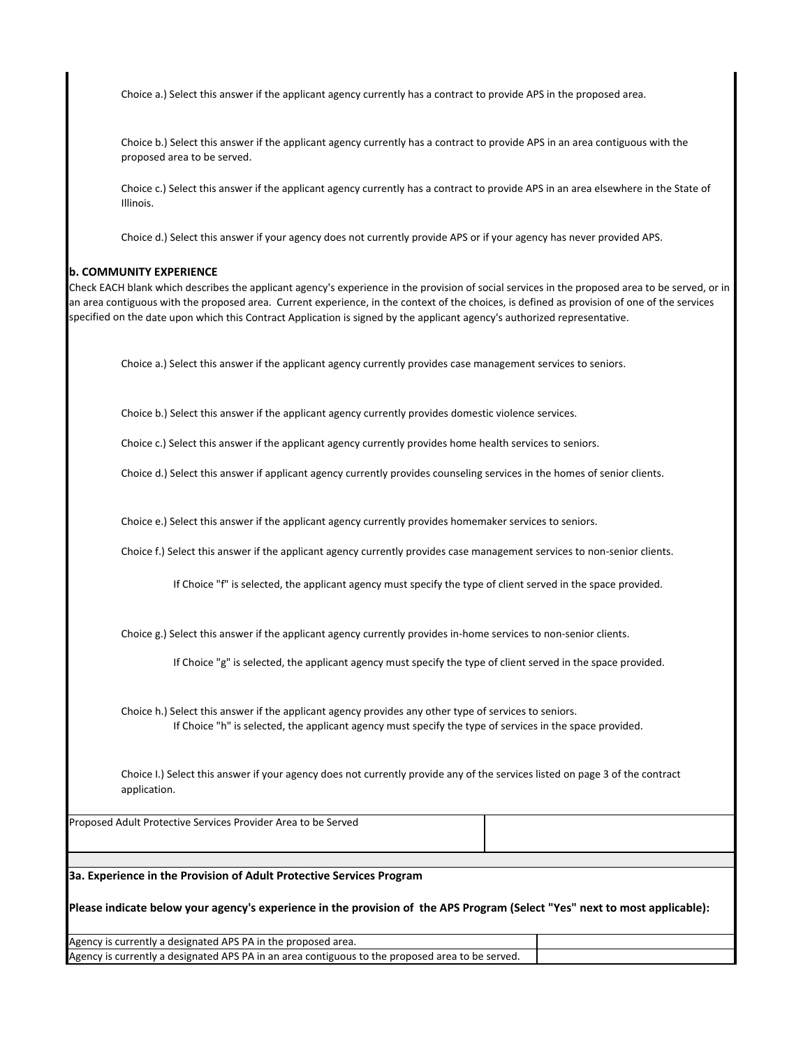Choice a.) Select this answer if the applicant agency currently has a contract to provide APS in the proposed area.

Choice b.) Select this answer if the applicant agency currently has a contract to provide APS in an area contiguous with the proposed area to be served.

Choice c.) Select this answer if the applicant agency currently has a contract to provide APS in an area elsewhere in the State of Illinois.

Choice d.) Select this answer if your agency does not currently provide APS or if your agency has never provided APS.

#### **b. COMMUNITY EXPERIENCE**

Check EACH blank which describes the applicant agency's experience in the provision of social services in the proposed area to be served, or in an area contiguous with the proposed area. Current experience, in the context of the choices, is defined as provision of one of the services specified on the date upon which this Contract Application is signed by the applicant agency's authorized representative.

Choice a.) Select this answer if the applicant agency currently provides case management services to seniors.

Choice b.) Select this answer if the applicant agency currently provides domestic violence services.

Choice c.) Select this answer if the applicant agency currently provides home health services to seniors.

Choice d.) Select this answer if applicant agency currently provides counseling services in the homes of senior clients.

Choice e.) Select this answer if the applicant agency currently provides homemaker services to seniors.

Choice f.) Select this answer if the applicant agency currently provides case management services to non‐senior clients.

If Choice "f" is selected, the applicant agency must specify the type of client served in the space provided.

Choice g.) Select this answer if the applicant agency currently provides in‐home services to non‐senior clients.

If Choice "g" is selected, the applicant agency must specify the type of client served in the space provided.

Choice h.) Select this answer if the applicant agency provides any other type of services to seniors. If Choice "h" is selected, the applicant agency must specify the type of services in the space provided.

Choice I.) Select this answer if your agency does not currently provide any of the services listed on page 3 of the contract application.

Proposed Adult Protective Services Provider Area to be Served

**3a. Experience in the Provision of Adult Protective Services Program**

Please indicate below your agency's experience in the provision of the APS Program (Select "Yes" next to most applicable):

Agency is currently a designated APS PA in the proposed area. Agency is currently a designated APS PA in an area contiguous to the proposed area to be served.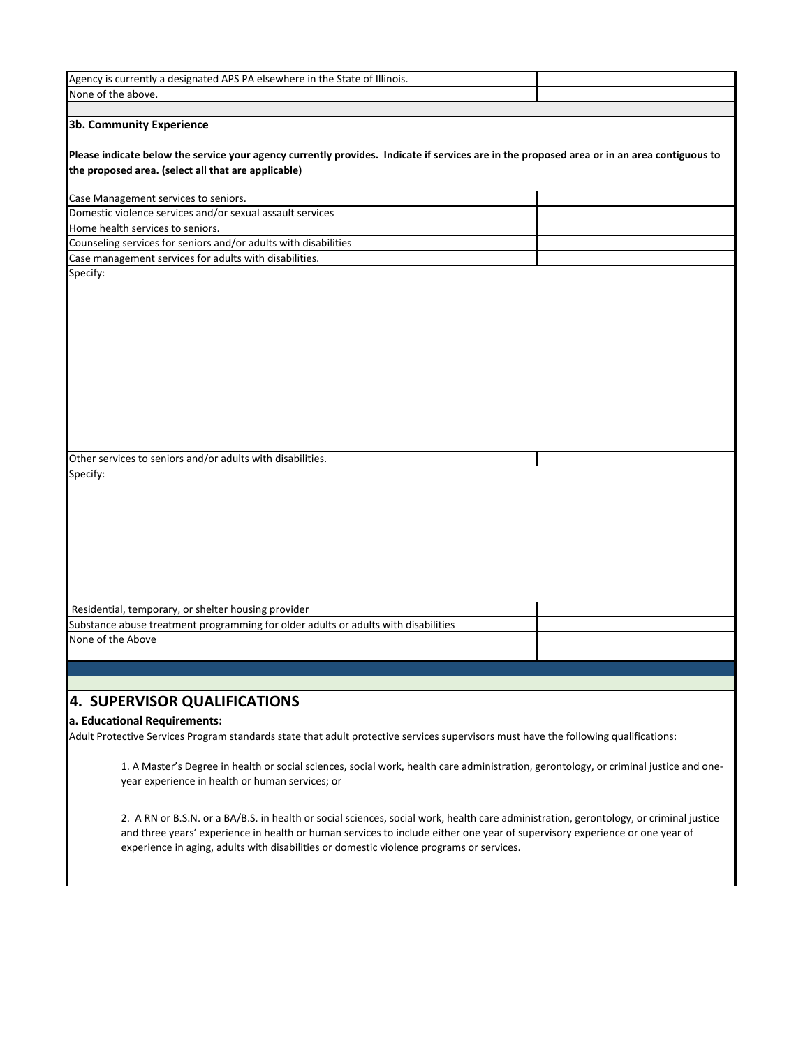| Agency is currently a designated APS PA elsewhere in the State of Illinois.                                                                                                                                                    |  |
|--------------------------------------------------------------------------------------------------------------------------------------------------------------------------------------------------------------------------------|--|
| None of the above.                                                                                                                                                                                                             |  |
|                                                                                                                                                                                                                                |  |
| 3b. Community Experience<br>Please indicate below the service your agency currently provides. Indicate if services are in the proposed area or in an area contiguous to<br>the proposed area. (select all that are applicable) |  |
| Case Management services to seniors.                                                                                                                                                                                           |  |
| Domestic violence services and/or sexual assault services                                                                                                                                                                      |  |
| Home health services to seniors.                                                                                                                                                                                               |  |
| Counseling services for seniors and/or adults with disabilities                                                                                                                                                                |  |
| Case management services for adults with disabilities.                                                                                                                                                                         |  |
| Specify:                                                                                                                                                                                                                       |  |
| Other services to seniors and/or adults with disabilities.                                                                                                                                                                     |  |
| Specify:                                                                                                                                                                                                                       |  |
| Residential, temporary, or shelter housing provider                                                                                                                                                                            |  |
| Substance abuse treatment programming for older adults or adults with disabilities                                                                                                                                             |  |
| None of the Above                                                                                                                                                                                                              |  |

# **4. SUPERVISOR QUALIFICATIONS**

## **a. Educational Requirements:**

Adult Protective Services Program standards state that adult protective services supervisors must have the following qualifications:

1. A Master's Degree in health or social sciences, social work, health care administration, gerontology, or criminal justice and one‐ year experience in health or human services; or

2. A RN or B.S.N. or a BA/B.S. in health or social sciences, social work, health care administration, gerontology, or criminal justice and three years' experience in health or human services to include either one year of supervisory experience or one year of experience in aging, adults with disabilities or domestic violence programs or services.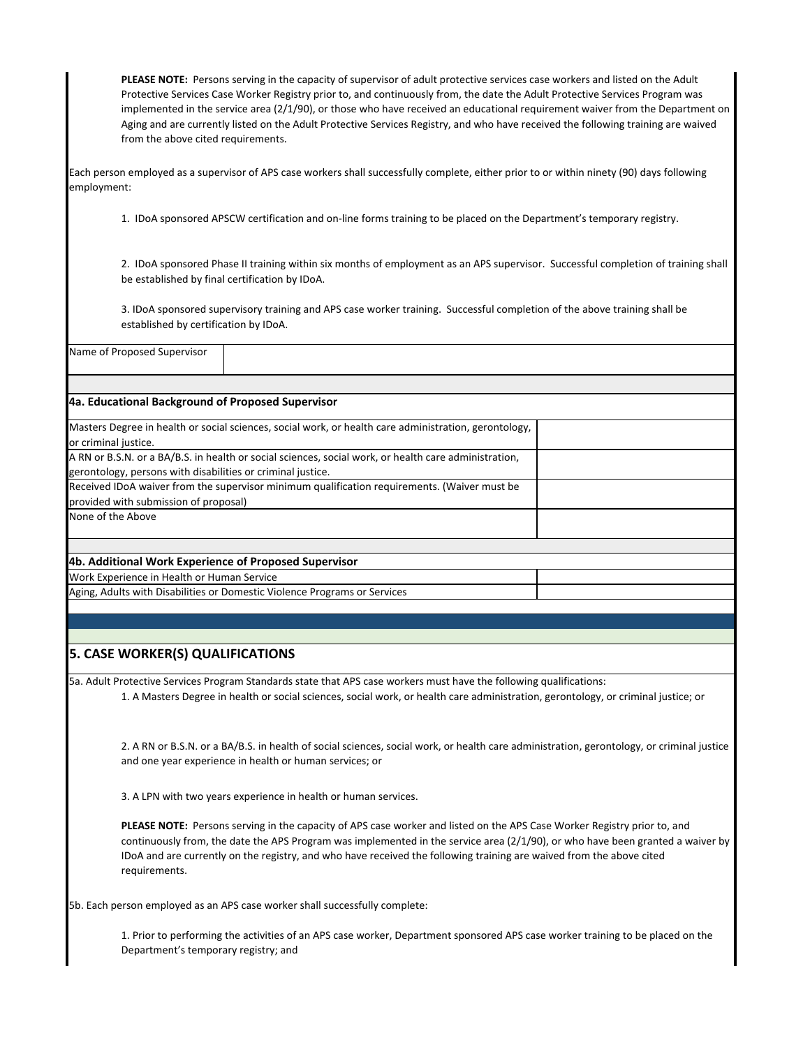**PLEASE NOTE:** Persons serving in the capacity of supervisor of adult protective services case workers and listed on the Adult Protective Services Case Worker Registry prior to, and continuously from, the date the Adult Protective Services Program was implemented in the service area (2/1/90), or those who have received an educational requirement waiver from the Department on Aging and are currently listed on the Adult Protective Services Registry, and who have received the following training are waived from the above cited requirements.

Each person employed as a supervisor of APS case workers shall successfully complete, either prior to or within ninety (90) days following employment:

1. IDoA sponsored APSCW certification and on‐line forms training to be placed on the Department's temporary registry.

2. IDoA sponsored Phase II training within six months of employment as an APS supervisor. Successful completion of training shall be established by final certification by IDoA.

3. IDoA sponsored supervisory training and APS case worker training. Successful completion of the above training shall be established by certification by IDoA.

|  | Name of Proposed Supervisor |
|--|-----------------------------|
|  |                             |

## **4a. Educational Background of Proposed Supervisor**

| Masters Degree in health or social sciences, social work, or health care administration, gerontology, |  |
|-------------------------------------------------------------------------------------------------------|--|
| or criminal justice.                                                                                  |  |
| A RN or B.S.N. or a BA/B.S. in health or social sciences, social work, or health care administration, |  |
| gerontology, persons with disabilities or criminal justice.                                           |  |
| Received IDoA waiver from the supervisor minimum qualification requirements. (Waiver must be          |  |
| provided with submission of proposal)                                                                 |  |
| None of the Above                                                                                     |  |
|                                                                                                       |  |
| 4b. Additional Work Experience of Proposed Supervisor                                                 |  |
| Work Experience in Health or Human Service                                                            |  |
|                                                                                                       |  |

Aging, Adults with Disabilities or Domestic Violence Programs or Services

# **5. CASE WORKER(S) QUALIFICATIONS**

5a. Adult Protective Services Program Standards state that APS case workers must have the following qualifications: 1. A Masters Degree in health or social sciences, social work, or health care administration, gerontology, or criminal justice; or

2. A RN or B.S.N. or a BA/B.S. in health of social sciences, social work, or health care administration, gerontology, or criminal justice and one year experience in health or human services; or

3. A LPN with two years experience in health or human services.

**PLEASE NOTE:** Persons serving in the capacity of APS case worker and listed on the APS Case Worker Registry prior to, and continuously from, the date the APS Program was implemented in the service area (2/1/90), or who have been granted a waiver by IDoA and are currently on the registry, and who have received the following training are waived from the above cited requirements.

5b. Each person employed as an APS case worker shall successfully complete:

1. Prior to performing the activities of an APS case worker, Department sponsored APS case worker training to be placed on the Department's temporary registry; and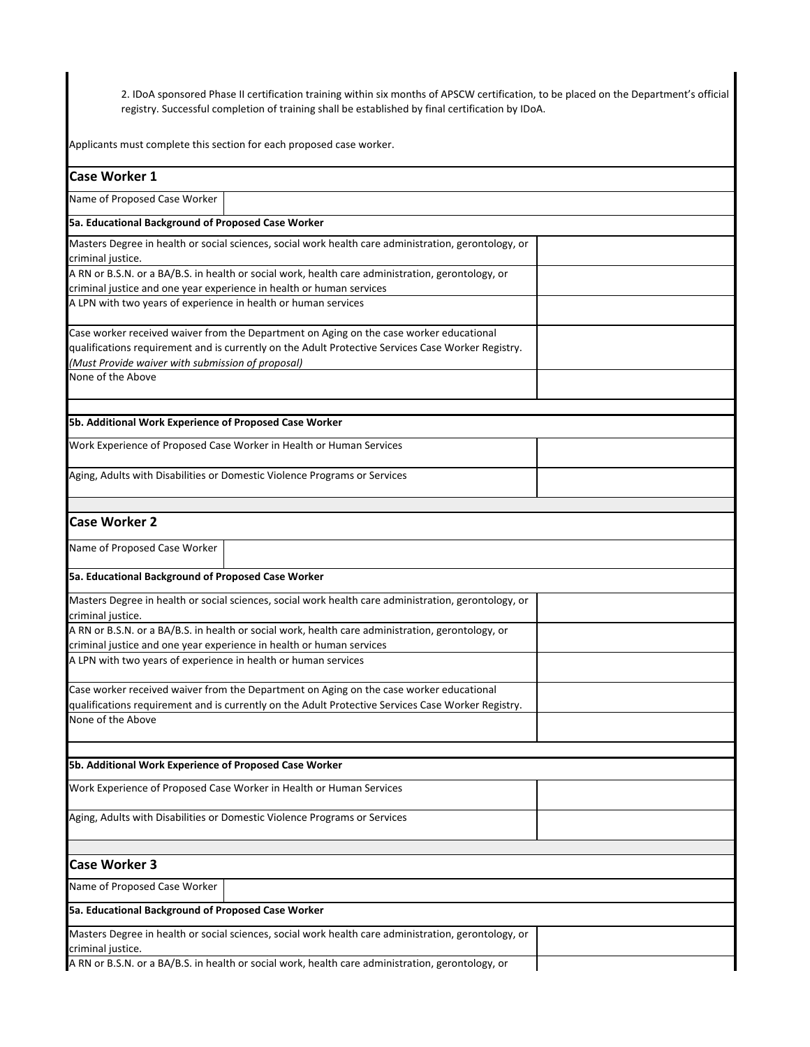2. IDoA sponsored Phase II certification training within six months of APSCW certification, to be placed on the Department's official registry. Successful completion of training shall be established by final certification by IDoA.

Applicants must complete this section for each proposed case worker.

| <b>Case Worker 1</b>                                                                                                      |
|---------------------------------------------------------------------------------------------------------------------------|
| Name of Proposed Case Worker                                                                                              |
| 5a. Educational Background of Proposed Case Worker                                                                        |
|                                                                                                                           |
| Masters Degree in health or social sciences, social work health care administration, gerontology, or<br>criminal justice. |
| A RN or B.S.N. or a BA/B.S. in health or social work, health care administration, gerontology, or                         |
| criminal justice and one year experience in health or human services                                                      |
| A LPN with two years of experience in health or human services                                                            |
| Case worker received waiver from the Department on Aging on the case worker educational                                   |
| qualifications requirement and is currently on the Adult Protective Services Case Worker Registry.                        |
| (Must Provide waiver with submission of proposal)                                                                         |
| None of the Above                                                                                                         |
| 5b. Additional Work Experience of Proposed Case Worker                                                                    |
| Work Experience of Proposed Case Worker in Health or Human Services                                                       |
| Aging, Adults with Disabilities or Domestic Violence Programs or Services                                                 |
| <b>Case Worker 2</b>                                                                                                      |
|                                                                                                                           |
| Name of Proposed Case Worker                                                                                              |
| 5a. Educational Background of Proposed Case Worker                                                                        |
| Masters Degree in health or social sciences, social work health care administration, gerontology, or<br>criminal justice. |
| A RN or B.S.N. or a BA/B.S. in health or social work, health care administration, gerontology, or                         |
| criminal justice and one year experience in health or human services                                                      |
| A LPN with two years of experience in health or human services                                                            |
| Case worker received waiver from the Department on Aging on the case worker educational                                   |
| qualifications requirement and is currently on the Adult Protective Services Case Worker Registry.                        |
| None of the Above                                                                                                         |
| 5b. Additional Work Experience of Proposed Case Worker                                                                    |
| Work Experience of Proposed Case Worker in Health or Human Services                                                       |
| Aging, Adults with Disabilities or Domestic Violence Programs or Services                                                 |
|                                                                                                                           |
| <b>Case Worker 3</b>                                                                                                      |
| Name of Proposed Case Worker                                                                                              |
| 5a. Educational Background of Proposed Case Worker                                                                        |
| Masters Degree in health or social sciences, social work health care administration, gerontology, or                      |
| criminal justice.                                                                                                         |
| A RN or B.S.N. or a BA/B.S. in health or social work, health care administration, gerontology, or                         |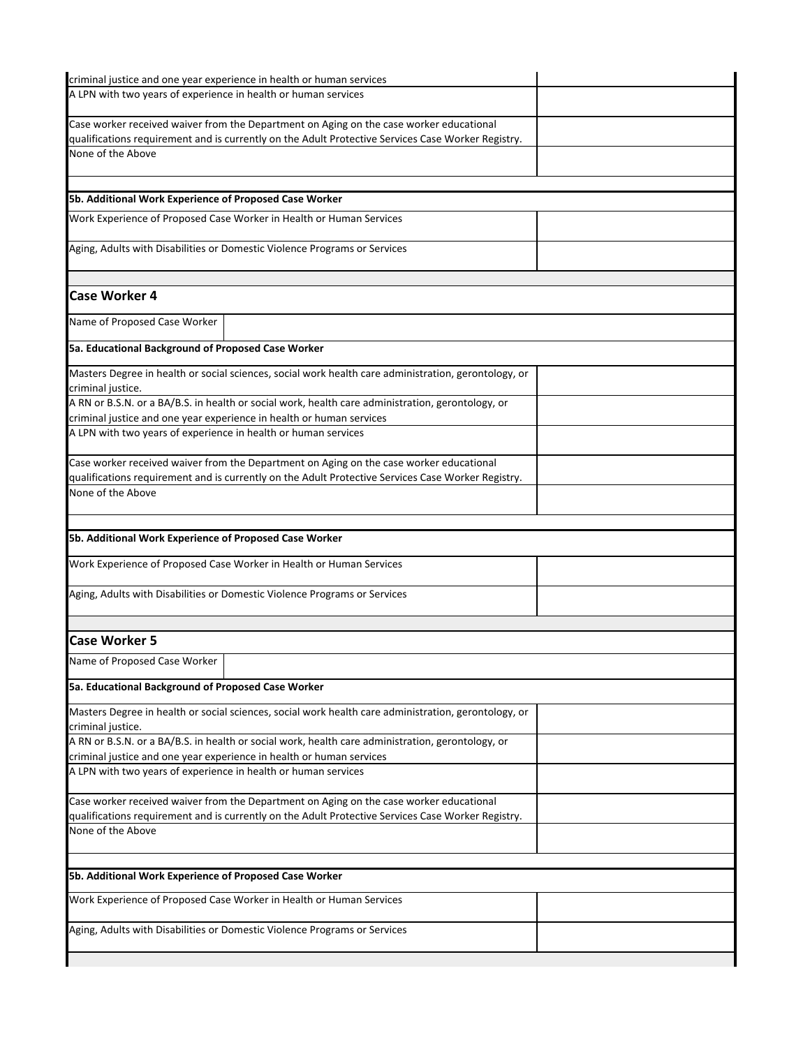| criminal justice and one year experience in health or human services                                 |  |
|------------------------------------------------------------------------------------------------------|--|
| A LPN with two years of experience in health or human services                                       |  |
|                                                                                                      |  |
| Case worker received waiver from the Department on Aging on the case worker educational              |  |
| qualifications requirement and is currently on the Adult Protective Services Case Worker Registry.   |  |
| None of the Above                                                                                    |  |
|                                                                                                      |  |
|                                                                                                      |  |
| 5b. Additional Work Experience of Proposed Case Worker                                               |  |
| Work Experience of Proposed Case Worker in Health or Human Services                                  |  |
|                                                                                                      |  |
| Aging, Adults with Disabilities or Domestic Violence Programs or Services                            |  |
|                                                                                                      |  |
|                                                                                                      |  |
| <b>Case Worker 4</b>                                                                                 |  |
|                                                                                                      |  |
| Name of Proposed Case Worker                                                                         |  |
|                                                                                                      |  |
| 5a. Educational Background of Proposed Case Worker                                                   |  |
| Masters Degree in health or social sciences, social work health care administration, gerontology, or |  |
| criminal justice.                                                                                    |  |
| A RN or B.S.N. or a BA/B.S. in health or social work, health care administration, gerontology, or    |  |
| criminal justice and one year experience in health or human services                                 |  |
| A LPN with two years of experience in health or human services                                       |  |
|                                                                                                      |  |
| Case worker received waiver from the Department on Aging on the case worker educational              |  |
| qualifications requirement and is currently on the Adult Protective Services Case Worker Registry.   |  |
| None of the Above                                                                                    |  |
|                                                                                                      |  |
|                                                                                                      |  |
| 5b. Additional Work Experience of Proposed Case Worker                                               |  |
|                                                                                                      |  |
| Work Experience of Proposed Case Worker in Health or Human Services                                  |  |
|                                                                                                      |  |
| Aging, Adults with Disabilities or Domestic Violence Programs or Services                            |  |
|                                                                                                      |  |
|                                                                                                      |  |
| <b>Case Worker 5</b>                                                                                 |  |
| Name of Proposed Case Worker                                                                         |  |
|                                                                                                      |  |
| 5a. Educational Background of Proposed Case Worker                                                   |  |
| Masters Degree in health or social sciences, social work health care administration, gerontology, or |  |
| criminal justice.                                                                                    |  |
| A RN or B.S.N. or a BA/B.S. in health or social work, health care administration, gerontology, or    |  |
| criminal justice and one year experience in health or human services                                 |  |
| A LPN with two years of experience in health or human services                                       |  |
|                                                                                                      |  |
| Case worker received waiver from the Department on Aging on the case worker educational              |  |
| qualifications requirement and is currently on the Adult Protective Services Case Worker Registry.   |  |
| None of the Above                                                                                    |  |
|                                                                                                      |  |
|                                                                                                      |  |
| 5b. Additional Work Experience of Proposed Case Worker                                               |  |
|                                                                                                      |  |
|                                                                                                      |  |
| Work Experience of Proposed Case Worker in Health or Human Services                                  |  |
|                                                                                                      |  |
| Aging, Adults with Disabilities or Domestic Violence Programs or Services                            |  |
|                                                                                                      |  |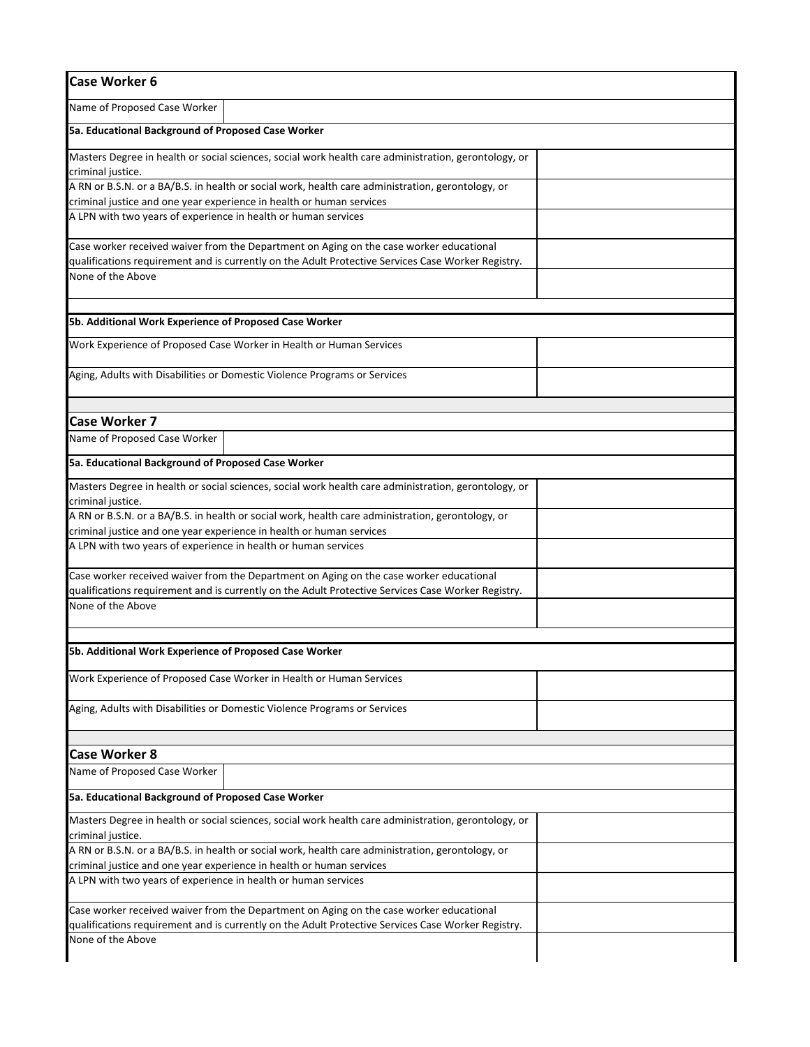| <b>Case Worker 6</b>                                                                                                                   |  |
|----------------------------------------------------------------------------------------------------------------------------------------|--|
| Name of Proposed Case Worker                                                                                                           |  |
| 5a. Educational Background of Proposed Case Worker                                                                                     |  |
| Masters Degree in health or social sciences, social work health care administration, gerontology, or<br>criminal justice.              |  |
| A RN or B.S.N. or a BA/B.S. in health or social work, health care administration, gerontology, or                                      |  |
| criminal justice and one year experience in health or human services                                                                   |  |
| A LPN with two years of experience in health or human services                                                                         |  |
| Case worker received waiver from the Department on Aging on the case worker educational                                                |  |
| qualifications requirement and is currently on the Adult Protective Services Case Worker Registry.                                     |  |
| None of the Above                                                                                                                      |  |
| 5b. Additional Work Experience of Proposed Case Worker                                                                                 |  |
| Work Experience of Proposed Case Worker in Health or Human Services                                                                    |  |
| Aging, Adults with Disabilities or Domestic Violence Programs or Services                                                              |  |
| <b>Case Worker 7</b>                                                                                                                   |  |
| Name of Proposed Case Worker                                                                                                           |  |
| 5a. Educational Background of Proposed Case Worker                                                                                     |  |
|                                                                                                                                        |  |
| Masters Degree in health or social sciences, social work health care administration, gerontology, or<br>criminal justice.              |  |
| A RN or B.S.N. or a BA/B.S. in health or social work, health care administration, gerontology, or                                      |  |
| criminal justice and one year experience in health or human services                                                                   |  |
| A LPN with two years of experience in health or human services                                                                         |  |
| Case worker received waiver from the Department on Aging on the case worker educational                                                |  |
| qualifications requirement and is currently on the Adult Protective Services Case Worker Registry.                                     |  |
| None of the Above                                                                                                                      |  |
| 5b. Additional Work Experience of Proposed Case Worker                                                                                 |  |
| Work Experience of Proposed Case Worker in Health or Human Services                                                                    |  |
|                                                                                                                                        |  |
| Aging, Adults with Disabilities or Domestic Violence Programs or Services                                                              |  |
| <b>Case Worker 8</b>                                                                                                                   |  |
| Name of Proposed Case Worker                                                                                                           |  |
| 5a. Educational Background of Proposed Case Worker                                                                                     |  |
| Masters Degree in health or social sciences, social work health care administration, gerontology, or<br>criminal justice.              |  |
| A RN or B.S.N. or a BA/B.S. in health or social work, health care administration, gerontology, or                                      |  |
| criminal justice and one year experience in health or human services<br>A LPN with two years of experience in health or human services |  |
|                                                                                                                                        |  |
| Case worker received waiver from the Department on Aging on the case worker educational                                                |  |
| qualifications requirement and is currently on the Adult Protective Services Case Worker Registry.<br>None of the Above                |  |
|                                                                                                                                        |  |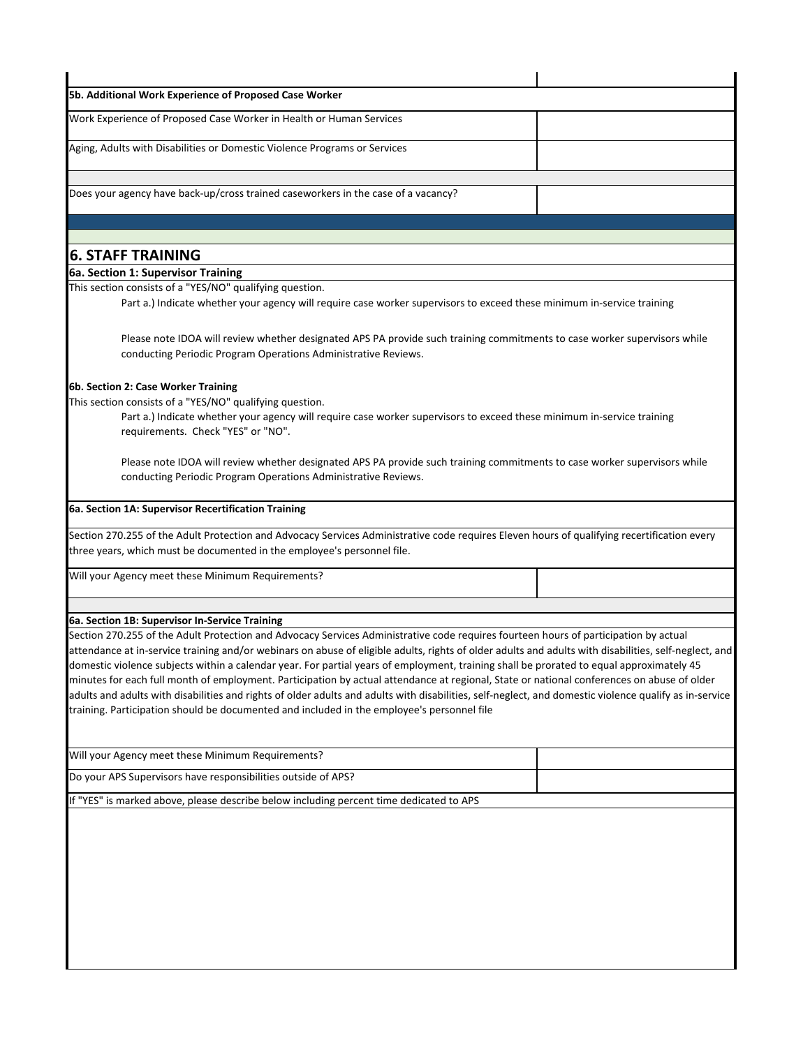| 5b. Additional Work Experience of Proposed Case Worker                                                                                                                                                                                               |  |
|------------------------------------------------------------------------------------------------------------------------------------------------------------------------------------------------------------------------------------------------------|--|
| Work Experience of Proposed Case Worker in Health or Human Services                                                                                                                                                                                  |  |
| Aging, Adults with Disabilities or Domestic Violence Programs or Services                                                                                                                                                                            |  |
| Does your agency have back-up/cross trained caseworkers in the case of a vacancy?                                                                                                                                                                    |  |
|                                                                                                                                                                                                                                                      |  |
| <b>6. STAFF TRAINING</b>                                                                                                                                                                                                                             |  |
| 6a. Section 1: Supervisor Training                                                                                                                                                                                                                   |  |
| This section consists of a "YES/NO" qualifying question.                                                                                                                                                                                             |  |
| Part a.) Indicate whether your agency will require case worker supervisors to exceed these minimum in-service training                                                                                                                               |  |
| Please note IDOA will review whether designated APS PA provide such training commitments to case worker supervisors while<br>conducting Periodic Program Operations Administrative Reviews.                                                          |  |
| 6b. Section 2: Case Worker Training                                                                                                                                                                                                                  |  |
| This section consists of a "YES/NO" qualifying question.                                                                                                                                                                                             |  |
| Part a.) Indicate whether your agency will require case worker supervisors to exceed these minimum in-service training<br>requirements. Check "YES" or "NO".                                                                                         |  |
| Please note IDOA will review whether designated APS PA provide such training commitments to case worker supervisors while<br>conducting Periodic Program Operations Administrative Reviews.                                                          |  |
| 6a. Section 1A: Supervisor Recertification Training                                                                                                                                                                                                  |  |
| Section 270.255 of the Adult Protection and Advocacy Services Administrative code requires Eleven hours of qualifying recertification every                                                                                                          |  |
| three years, which must be documented in the employee's personnel file.                                                                                                                                                                              |  |
| Will your Agency meet these Minimum Requirements?                                                                                                                                                                                                    |  |
| 6a. Section 1B: Supervisor In-Service Training                                                                                                                                                                                                       |  |
| Section 270.255 of the Adult Protection and Advocacy Services Administrative code requires fourteen hours of participation by actual                                                                                                                 |  |
| attendance at in-service training and/or webinars on abuse of eligible adults, rights of older adults and adults with disabilities, self-neglect, and                                                                                                |  |
| domestic violence subjects within a calendar year. For partial years of employment, training shall be prorated to equal approximately 45                                                                                                             |  |
| minutes for each full month of employment. Participation by actual attendance at regional, State or national conferences on abuse of older                                                                                                           |  |
| adults and adults with disabilities and rights of older adults and adults with disabilities, self-neglect, and domestic violence qualify as in-service<br>training. Participation should be documented and included in the employee's personnel file |  |
| Will your Agency meet these Minimum Requirements?                                                                                                                                                                                                    |  |
| Do your APS Supervisors have responsibilities outside of APS?                                                                                                                                                                                        |  |
| If "YES" is marked above, please describe below including percent time dedicated to APS                                                                                                                                                              |  |
|                                                                                                                                                                                                                                                      |  |
|                                                                                                                                                                                                                                                      |  |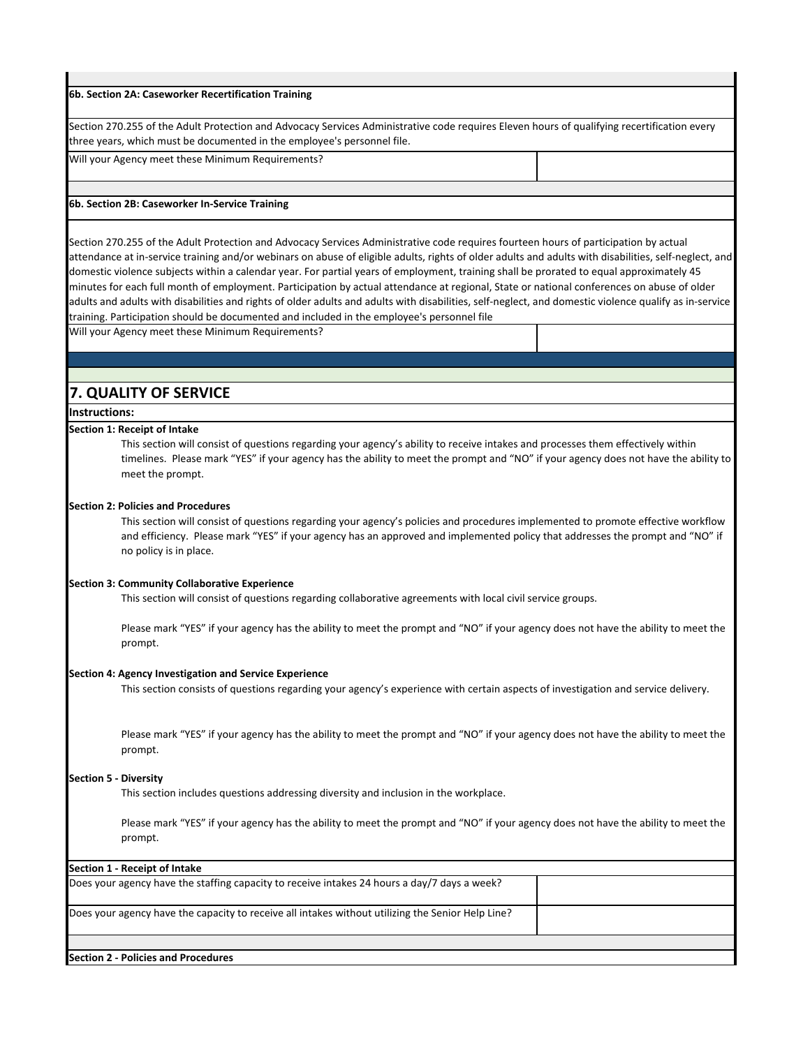#### **6b. Section 2A: Caseworker Recertification Training**

Section 270.255 of the Adult Protection and Advocacy Services Administrative code requires Eleven hours of qualifying recertification every three years, which must be documented in the employee's personnel file.

Will your Agency meet these Minimum Requirements?

#### **6b. Section 2B: Caseworker In‐Service Training**

Section 270.255 of the Adult Protection and Advocacy Services Administrative code requires fourteen hours of participation by actual attendance at in‐service training and/or webinars on abuse of eligible adults, rights of older adults and adults with disabilities, self‐neglect, and domestic violence subjects within a calendar year. For partial years of employment, training shall be prorated to equal approximately 45 minutes for each full month of employment. Participation by actual attendance at regional, State or national conferences on abuse of older adults and adults with disabilities and rights of older adults and adults with disabilities, self‐neglect, and domestic violence qualify as in‐service training. Participation should be documented and included in the employee's personnel file

Will your Agency meet these Minimum Requirements?

# **7. QUALITY OF SERVICE**

## **Instructions:**

#### **Section 1: Receipt of Intake**

This section will consist of questions regarding your agency's ability to receive intakes and processes them effectively within timelines. Please mark "YES" if your agency has the ability to meet the prompt and "NO" if your agency does not have the ability to meet the prompt.

#### **Section 2: Policies and Procedures**

This section will consist of questions regarding your agency's policies and procedures implemented to promote effective workflow and efficiency. Please mark "YES" if your agency has an approved and implemented policy that addresses the prompt and "NO" if no policy is in place.

#### **Section 3: Community Collaborative Experience**

This section will consist of questions regarding collaborative agreements with local civil service groups.

Please mark "YES" if your agency has the ability to meet the prompt and "NO" if your agency does not have the ability to meet the prompt.

## **Section 4: Agency Investigation and Service Experience**

This section consists of questions regarding your agency's experience with certain aspects of investigation and service delivery.

Please mark "YES" if your agency has the ability to meet the prompt and "NO" if your agency does not have the ability to meet the prompt.

#### **Section 5 ‐ Diversity**

This section includes questions addressing diversity and inclusion in the workplace.

Please mark "YES" if your agency has the ability to meet the prompt and "NO" if your agency does not have the ability to meet the prompt.

| Section 1 - Receipt of Intake                                                                     |  |
|---------------------------------------------------------------------------------------------------|--|
| Does your agency have the staffing capacity to receive intakes 24 hours a day/7 days a week?      |  |
| Does your agency have the capacity to receive all intakes without utilizing the Senior Help Line? |  |
|                                                                                                   |  |
| Section 2 - Policies and Procedures                                                               |  |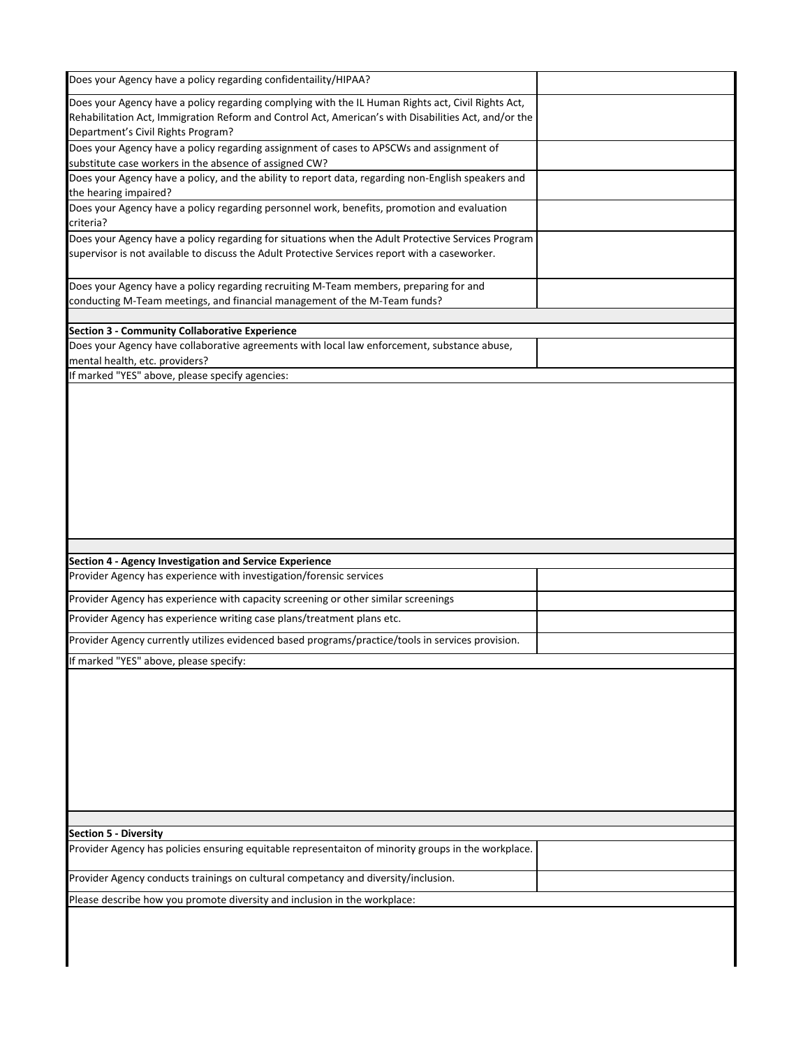| Does your Agency have a policy regarding confidentaility/HIPAA?                                                                                    |  |
|----------------------------------------------------------------------------------------------------------------------------------------------------|--|
| Does your Agency have a policy regarding complying with the IL Human Rights act, Civil Rights Act,                                                 |  |
| Rehabilitation Act, Immigration Reform and Control Act, American's with Disabilities Act, and/or the                                               |  |
| Department's Civil Rights Program?                                                                                                                 |  |
| Does your Agency have a policy regarding assignment of cases to APSCWs and assignment of<br>substitute case workers in the absence of assigned CW? |  |
| Does your Agency have a policy, and the ability to report data, regarding non-English speakers and                                                 |  |
| the hearing impaired?                                                                                                                              |  |
| Does your Agency have a policy regarding personnel work, benefits, promotion and evaluation<br>criteria?                                           |  |
| Does your Agency have a policy regarding for situations when the Adult Protective Services Program                                                 |  |
| supervisor is not available to discuss the Adult Protective Services report with a caseworker.                                                     |  |
| Does your Agency have a policy regarding recruiting M-Team members, preparing for and                                                              |  |
| conducting M-Team meetings, and financial management of the M-Team funds?                                                                          |  |
|                                                                                                                                                    |  |
| <b>Section 3 - Community Collaborative Experience</b>                                                                                              |  |
| Does your Agency have collaborative agreements with local law enforcement, substance abuse,                                                        |  |
| mental health, etc. providers?<br>If marked "YES" above, please specify agencies:                                                                  |  |
|                                                                                                                                                    |  |
|                                                                                                                                                    |  |
|                                                                                                                                                    |  |
| Section 4 - Agency Investigation and Service Experience                                                                                            |  |
| Provider Agency has experience with investigation/forensic services                                                                                |  |
| Provider Agency has experience with capacity screening or other similar screenings                                                                 |  |
| Provider Agency has experience writing case plans/treatment plans etc.                                                                             |  |
| Provider Agency currently utilizes evidenced based programs/practice/tools in services provision.                                                  |  |
| If marked "YES" above, please specify:                                                                                                             |  |
|                                                                                                                                                    |  |
|                                                                                                                                                    |  |
| <b>Section 5 - Diversity</b>                                                                                                                       |  |
| Provider Agency has policies ensuring equitable representaiton of minority groups in the workplace.                                                |  |
| Provider Agency conducts trainings on cultural competancy and diversity/inclusion.                                                                 |  |
| Please describe how you promote diversity and inclusion in the workplace:                                                                          |  |

I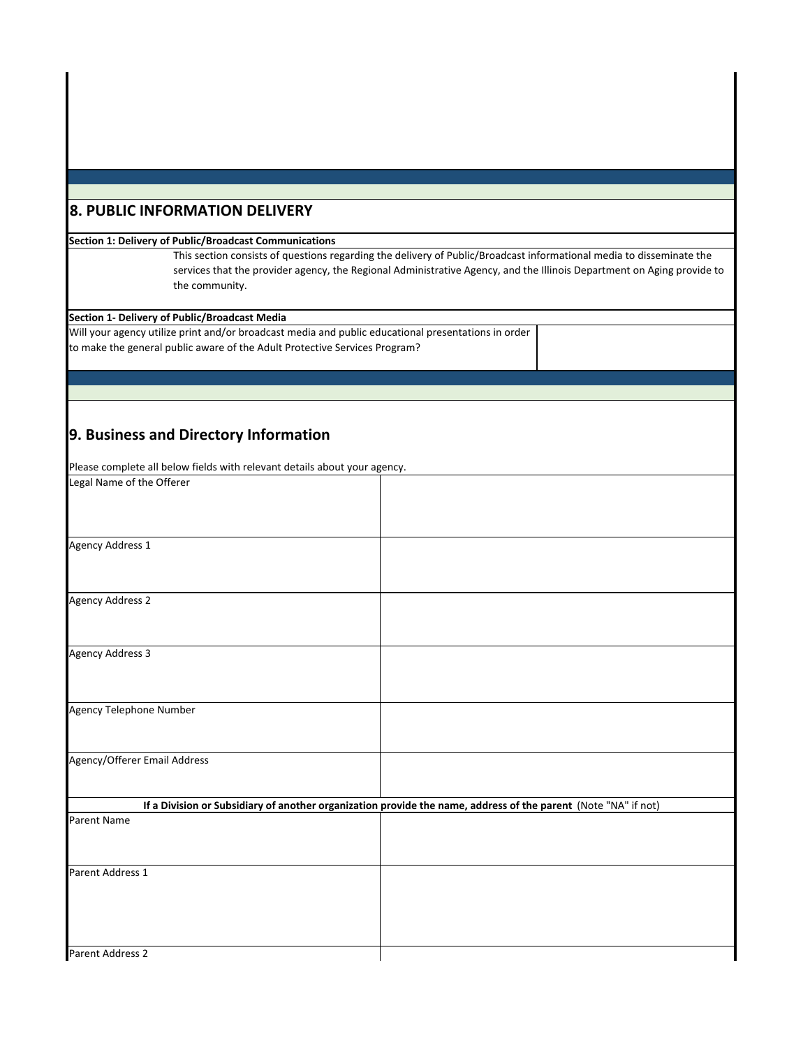# **8. PUBLIC INFORMATION DELIVERY**

### **Section 1: Delivery of Public/Broadcast Communications**

This section consists of questions regarding the delivery of Public/Broadcast informational media to disseminate the services that the provider agency, the Regional Administrative Agency, and the Illinois Department on Aging provide to the community.

## **Section 1‐ Delivery of Public/Broadcast Media**

Will your agency utilize print and/or broadcast media and public educational presentations in order to make the general public aware of the Adult Protective Services Program?

# **9. Business and Directory Information**

Please complete all below fields with relevant details about your agency.

| Legal Name of the Offerer    |                                                                                                                |
|------------------------------|----------------------------------------------------------------------------------------------------------------|
|                              |                                                                                                                |
| Agency Address 1             |                                                                                                                |
| <b>Agency Address 2</b>      |                                                                                                                |
| <b>Agency Address 3</b>      |                                                                                                                |
| Agency Telephone Number      |                                                                                                                |
|                              |                                                                                                                |
| Agency/Offerer Email Address |                                                                                                                |
|                              | If a Division or Subsidiary of another organization provide the name, address of the parent (Note "NA" if not) |
| Parent Name                  |                                                                                                                |
| Parent Address 1             |                                                                                                                |
| Parent Address 2             |                                                                                                                |